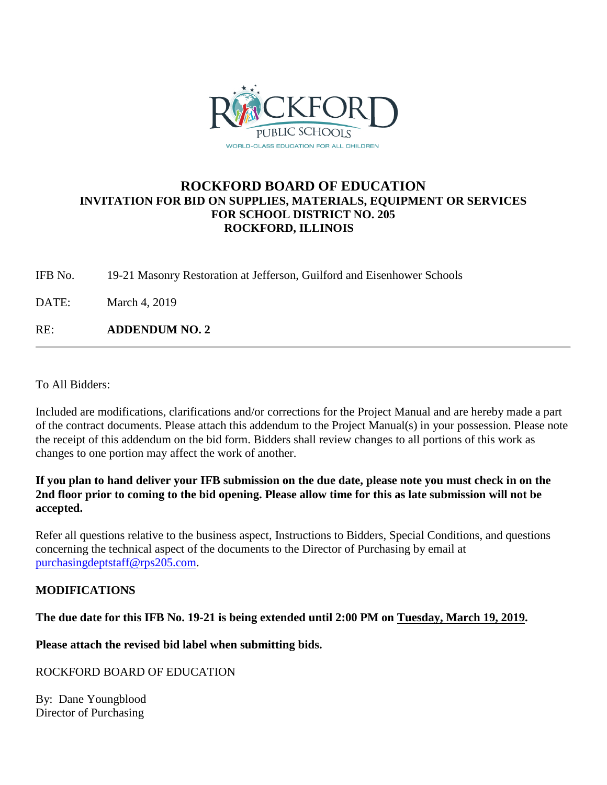

### **ROCKFORD BOARD OF EDUCATION INVITATION FOR BID ON SUPPLIES, MATERIALS, EQUIPMENT OR SERVICES FOR SCHOOL DISTRICT NO. 205 ROCKFORD, ILLINOIS**

IFB No. 19-21 Masonry Restoration at Jefferson, Guilford and Eisenhower Schools

DATE: March 4, 2019

RE: **ADDENDUM NO. 2**

To All Bidders:

Included are modifications, clarifications and/or corrections for the Project Manual and are hereby made a part of the contract documents. Please attach this addendum to the Project Manual(s) in your possession. Please note the receipt of this addendum on the bid form. Bidders shall review changes to all portions of this work as changes to one portion may affect the work of another.

#### **If you plan to hand deliver your IFB submission on the due date, please note you must check in on the 2nd floor prior to coming to the bid opening. Please allow time for this as late submission will not be accepted.**

Refer all questions relative to the business aspect, Instructions to Bidders, Special Conditions, and questions concerning the technical aspect of the documents to the Director of Purchasing by email at [purchasingdeptstaff@rps205.com.](mailto:purchasingdeptstaff@rps205.com)

#### **MODIFICATIONS**

#### **The due date for this IFB No. 19-21 is being extended until 2:00 PM on Tuesday, March 19, 2019.**

**Please attach the revised bid label when submitting bids.**

#### ROCKFORD BOARD OF EDUCATION

By: Dane Youngblood Director of Purchasing